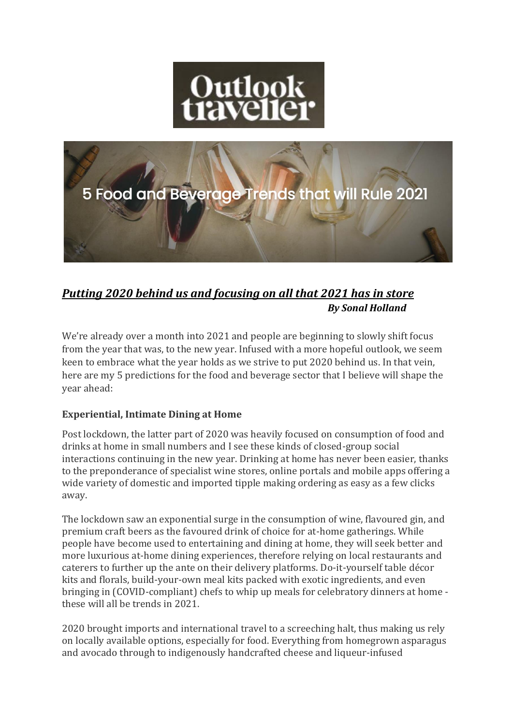



# *Putting 2020 behind us and focusing on all that 2021 has in store By Sonal Holland*

We're already over a month into 2021 and people are beginning to slowly shift focus from the year that was, to the new year. Infused with a more hopeful outlook, we seem keen to embrace what the year holds as we strive to put 2020 behind us. In that vein, here are my 5 predictions for the food and beverage sector that I believe will shape the year ahead:

## **Experiential, Intimate Dining at Home**

Post lockdown, the latter part of 2020 was heavily focused on consumption of food and drinks at home in small numbers and I see these kinds of closed-group social interactions continuing in the new year. Drinking at home has never been easier, thanks to the preponderance of specialist wine stores, online portals and mobile apps offering a wide variety of domestic and imported tipple making ordering as easy as a few clicks away.

The lockdown saw an exponential surge in the consumption of wine, flavoured gin, and premium craft beers as the favoured drink of choice for at-home gatherings. While people have become used to entertaining and dining at home, they will seek better and more luxurious at-home dining experiences, therefore relying on local restaurants and caterers to further up the ante on their delivery platforms. Do-it-yourself table décor kits and florals, build-your-own meal kits packed with exotic ingredients, and even bringing in (COVID-compliant) chefs to whip up meals for celebratory dinners at home these will all be trends in 2021.

2020 brought imports and international travel to a screeching halt, thus making us rely on locally available options, especially for food. Everything from homegrown asparagus and avocado through to indigenously handcrafted cheese and liqueur-infused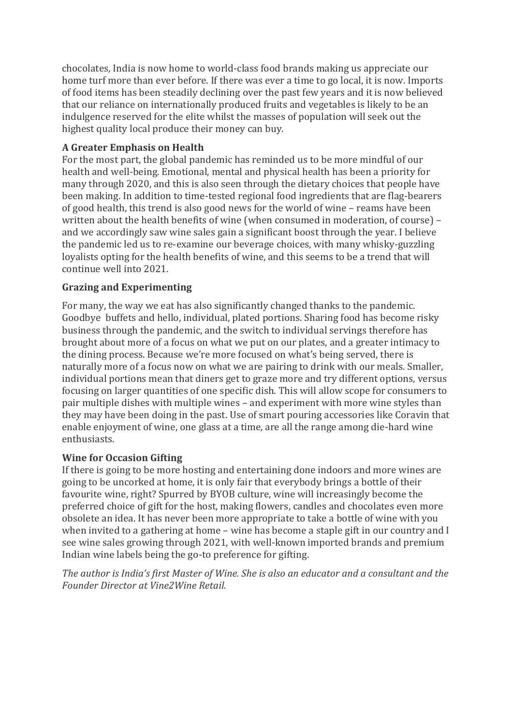chocolates, India is now home to world-class food brands making us appreciate our home turf more than ever before. If there was ever a time to go local, it is now. Imports of food items has been steadily declining over the past few years and it is now believed that our reliance on internationally produced fruits and vegetables is likely to be an indulgence reserved for the elite whilst the masses of population will seek out the highest quality local produce their money can buy.

### **A Greater Emphasis on Health**

For the most part, the global pandemic has reminded us to be more mindful of our health and well-being. Emotional, mental and physical health has been a priority for many through 2020, and this is also seen through the dietary choices that people have been making. In addition to time-tested regional food ingredients that are flag-bearers of good health, this trend is also good news for the world of wine – reams have been written about the health benefits of wine (when consumed in moderation, of course) – and we accordingly saw wine sales gain a significant boost through the year. I believe the pandemic led us to re-examine our beverage choices, with many whisky-guzzling loyalists opting for the health benefits of wine, and this seems to be a trend that will continue well into 2021.

### **Grazing and Experimenting**

For many, the way we eat has also significantly changed thanks to the pandemic. Goodbye buffets and hello, individual, plated portions. Sharing food has become risky business through the pandemic, and the switch to individual servings therefore has brought about more of a focus on what we put on our plates, and a greater intimacy to the dining process. Because we're more focused on what's being served, there is naturally more of a focus now on what we are pairing to drink with our meals. Smaller, individual portions mean that diners get to graze more and try different options, versus focusing on larger quantities of one specific dish. This will allow scope for consumers to pair multiple dishes with multiple wines – and experiment with more wine styles than they may have been doing in the past. Use of smart pouring accessories like Coravin that enable enjoyment of wine, one glass at a time, are all the range among die-hard wine enthusiasts.

#### **Wine for Occasion Gifting**

If there is going to be more hosting and entertaining done indoors and more wines are going to be uncorked at home, it is only fair that everybody brings a bottle of their favourite wine, right? Spurred by BYOB culture, wine will increasingly become the preferred choice of gift for the host, making flowers, candles and chocolates even more obsolete an idea. It has never been more appropriate to take a bottle of wine with you when invited to a gathering at home – wine has become a staple gift in our country and I see wine sales growing through 2021, with well-known imported brands and premium Indian wine labels being the go-to preference for gifting.

*The author is India's first Master of Wine. She is also an educator and a consultant and the Founder Director at Vine2Wine Retail.*